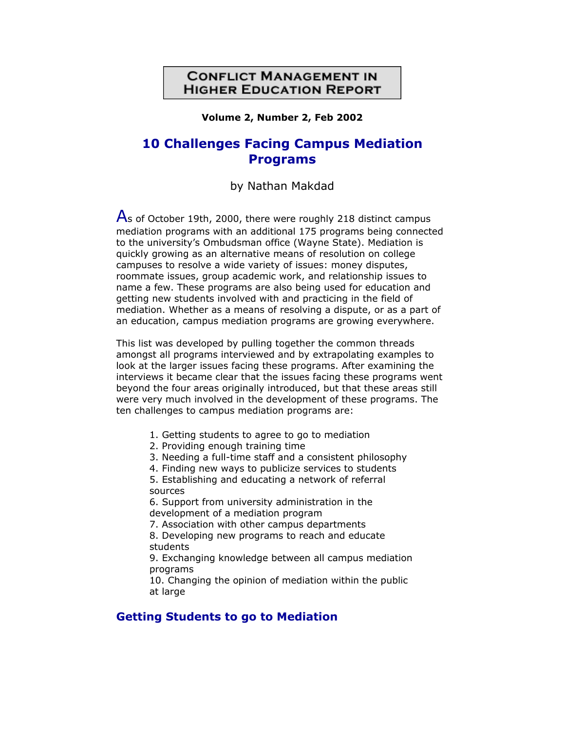### **CONFLICT MANAGEMENT IN HIGHER EDUCATION REPORT**

**Volume 2, Number 2, Feb 2002**

# **10 Challenges Facing Campus Mediation Programs**

by Nathan Makdad

 $\overline{A}$ s of October 19th, 2000, there were roughly 218 distinct campus mediation programs with an additional 175 programs being connected to the university's Ombudsman office (Wayne State). Mediation is quickly growing as an alternative means of resolution on college campuses to resolve a wide variety of issues: money disputes, roommate issues, group academic work, and relationship issues to name a few. These programs are also being used for education and getting new students involved with and practicing in the field of mediation. Whether as a means of resolving a dispute, or as a part of an education, campus mediation programs are growing everywhere.

This list was developed by pulling together the common threads amongst all programs interviewed and by extrapolating examples to look at the larger issues facing these programs. After examining the interviews it became clear that the issues facing these programs went beyond the four areas originally introduced, but that these areas still were very much involved in the development of these programs. The ten challenges to campus mediation programs are:

1. Getting students to agree to go to mediation

2. Providing enough training time

3. Needing a full-time staff and a consistent philosophy

4. Finding new ways to publicize services to students 5. Establishing and educating a network of referral sources

6. Support from university administration in the development of a mediation program

7. Association with other campus departments

8. Developing new programs to reach and educate students

9. Exchanging knowledge between all campus mediation programs

10. Changing the opinion of mediation within the public at large

#### **Getting Students to go to Mediation**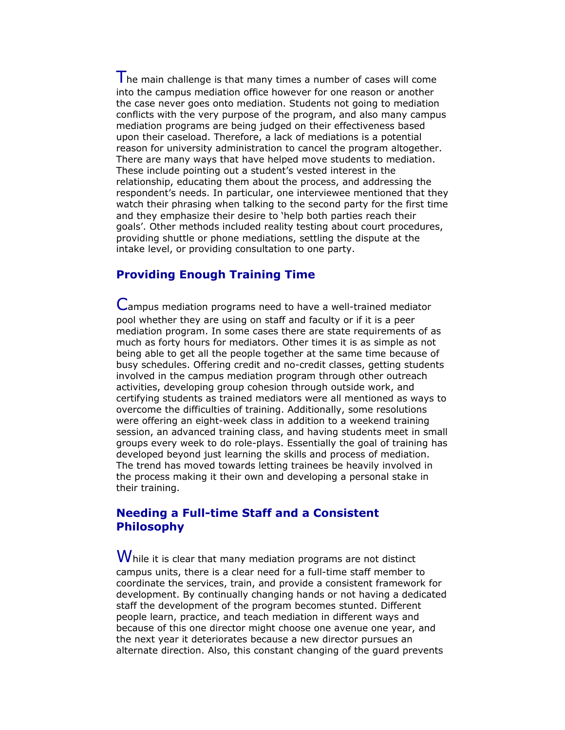The main challenge is that many times a number of cases will come into the campus mediation office however for one reason or another the case never goes onto mediation. Students not going to mediation conflicts with the very purpose of the program, and also many campus mediation programs are being judged on their effectiveness based upon their caseload. Therefore, a lack of mediations is a potential reason for university administration to cancel the program altogether. There are many ways that have helped move students to mediation. These include pointing out a student's vested interest in the relationship, educating them about the process, and addressing the respondent's needs. In particular, one interviewee mentioned that they watch their phrasing when talking to the second party for the first time and they emphasize their desire to 'help both parties reach their goals'. Other methods included reality testing about court procedures, providing shuttle or phone mediations, settling the dispute at the intake level, or providing consultation to one party.

### **Providing Enough Training Time**

Campus mediation programs need to have a well-trained mediator pool whether they are using on staff and faculty or if it is a peer mediation program. In some cases there are state requirements of as much as forty hours for mediators. Other times it is as simple as not being able to get all the people together at the same time because of busy schedules. Offering credit and no-credit classes, getting students involved in the campus mediation program through other outreach activities, developing group cohesion through outside work, and certifying students as trained mediators were all mentioned as ways to overcome the difficulties of training. Additionally, some resolutions were offering an eight-week class in addition to a weekend training session, an advanced training class, and having students meet in small groups every week to do role-plays. Essentially the goal of training has developed beyond just learning the skills and process of mediation. The trend has moved towards letting trainees be heavily involved in the process making it their own and developing a personal stake in their training.

## **Needing a Full-time Staff and a Consistent Philosophy**

 $\boldsymbol{W}$ hile it is clear that many mediation programs are not distinct campus units, there is a clear need for a full-time staff member to coordinate the services, train, and provide a consistent framework for development. By continually changing hands or not having a dedicated staff the development of the program becomes stunted. Different people learn, practice, and teach mediation in different ways and because of this one director might choose one avenue one year, and the next year it deteriorates because a new director pursues an alternate direction. Also, this constant changing of the guard prevents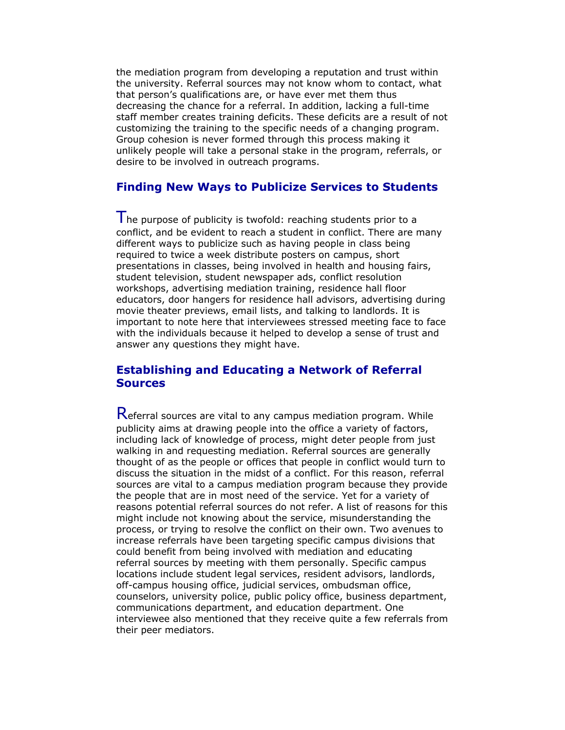the mediation program from developing a reputation and trust within the university. Referral sources may not know whom to contact, what that person's qualifications are, or have ever met them thus decreasing the chance for a referral. In addition, lacking a full-time staff member creates training deficits. These deficits are a result of not customizing the training to the specific needs of a changing program. Group cohesion is never formed through this process making it unlikely people will take a personal stake in the program, referrals, or desire to be involved in outreach programs.

### **Finding New Ways to Publicize Services to Students**

 $\mathsf I$  he purpose of publicity is twofold: reaching students prior to a conflict, and be evident to reach a student in conflict. There are many different ways to publicize such as having people in class being required to twice a week distribute posters on campus, short presentations in classes, being involved in health and housing fairs, student television, student newspaper ads, conflict resolution workshops, advertising mediation training, residence hall floor educators, door hangers for residence hall advisors, advertising during movie theater previews, email lists, and talking to landlords. It is important to note here that interviewees stressed meeting face to face with the individuals because it helped to develop a sense of trust and answer any questions they might have.

### **Establishing and Educating a Network of Referral Sources**

Referral sources are vital to any campus mediation program. While publicity aims at drawing people into the office a variety of factors, including lack of knowledge of process, might deter people from just walking in and requesting mediation. Referral sources are generally thought of as the people or offices that people in conflict would turn to discuss the situation in the midst of a conflict. For this reason, referral sources are vital to a campus mediation program because they provide the people that are in most need of the service. Yet for a variety of reasons potential referral sources do not refer. A list of reasons for this might include not knowing about the service, misunderstanding the process, or trying to resolve the conflict on their own. Two avenues to increase referrals have been targeting specific campus divisions that could benefit from being involved with mediation and educating referral sources by meeting with them personally. Specific campus locations include student legal services, resident advisors, landlords, off-campus housing office, judicial services, ombudsman office, counselors, university police, public policy office, business department, communications department, and education department. One interviewee also mentioned that they receive quite a few referrals from their peer mediators.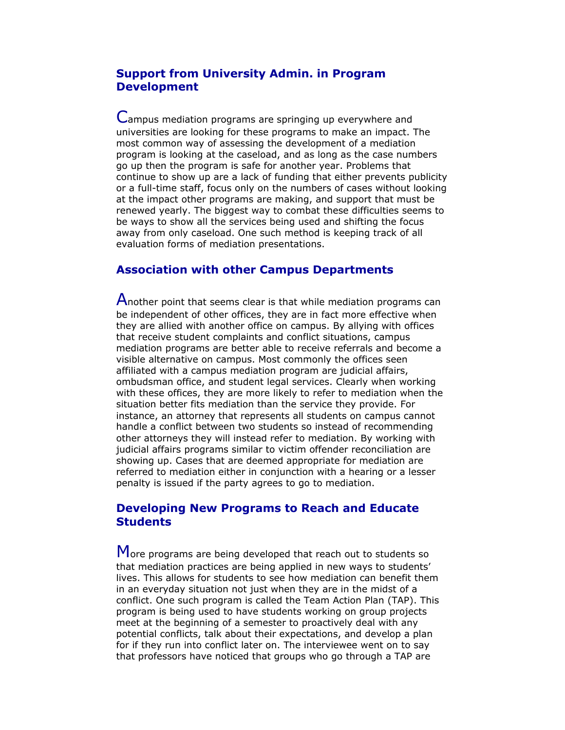### **Support from University Admin. in Program Development**

Campus mediation programs are springing up everywhere and universities are looking for these programs to make an impact. The most common way of assessing the development of a mediation program is looking at the caseload, and as long as the case numbers go up then the program is safe for another year. Problems that continue to show up are a lack of funding that either prevents publicity or a full-time staff, focus only on the numbers of cases without looking at the impact other programs are making, and support that must be renewed yearly. The biggest way to combat these difficulties seems to be ways to show all the services being used and shifting the focus away from only caseload. One such method is keeping track of all evaluation forms of mediation presentations.

### **Association with other Campus Departments**

Another point that seems clear is that while mediation programs can be independent of other offices, they are in fact more effective when they are allied with another office on campus. By allying with offices that receive student complaints and conflict situations, campus mediation programs are better able to receive referrals and become a visible alternative on campus. Most commonly the offices seen affiliated with a campus mediation program are judicial affairs, ombudsman office, and student legal services. Clearly when working with these offices, they are more likely to refer to mediation when the situation better fits mediation than the service they provide. For instance, an attorney that represents all students on campus cannot handle a conflict between two students so instead of recommending other attorneys they will instead refer to mediation. By working with judicial affairs programs similar to victim offender reconciliation are showing up. Cases that are deemed appropriate for mediation are referred to mediation either in conjunction with a hearing or a lesser penalty is issued if the party agrees to go to mediation.

### **Developing New Programs to Reach and Educate Students**

More programs are being developed that reach out to students so that mediation practices are being applied in new ways to students' lives. This allows for students to see how mediation can benefit them in an everyday situation not just when they are in the midst of a conflict. One such program is called the Team Action Plan (TAP). This program is being used to have students working on group projects meet at the beginning of a semester to proactively deal with any potential conflicts, talk about their expectations, and develop a plan for if they run into conflict later on. The interviewee went on to say that professors have noticed that groups who go through a TAP are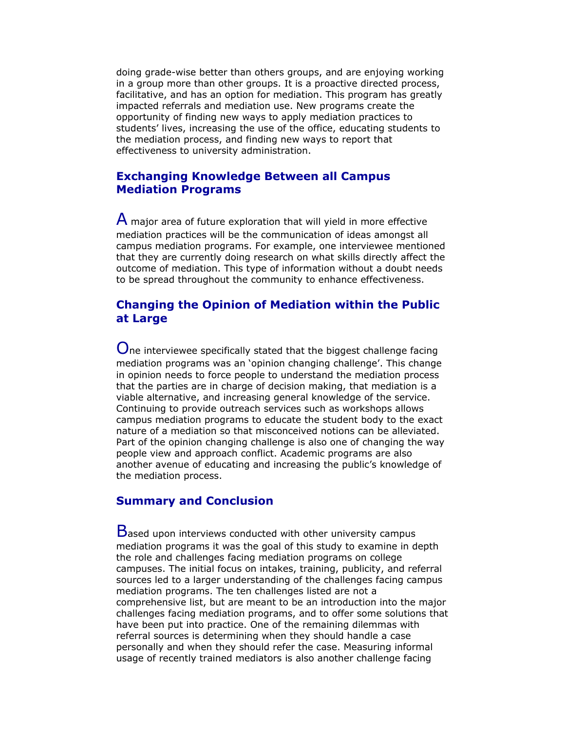doing grade-wise better than others groups, and are enjoying working in a group more than other groups. It is a proactive directed process, facilitative, and has an option for mediation. This program has greatly impacted referrals and mediation use. New programs create the opportunity of finding new ways to apply mediation practices to students' lives, increasing the use of the office, educating students to the mediation process, and finding new ways to report that effectiveness to university administration.

### **Exchanging Knowledge Between all Campus Mediation Programs**

 $\mathsf A$  major area of future exploration that will yield in more effective mediation practices will be the communication of ideas amongst all campus mediation programs. For example, one interviewee mentioned that they are currently doing research on what skills directly affect the outcome of mediation. This type of information without a doubt needs to be spread throughout the community to enhance effectiveness.

### **Changing the Opinion of Mediation within the Public at Large**

One interviewee specifically stated that the biggest challenge facing mediation programs was an 'opinion changing challenge'. This change in opinion needs to force people to understand the mediation process that the parties are in charge of decision making, that mediation is a viable alternative, and increasing general knowledge of the service. Continuing to provide outreach services such as workshops allows campus mediation programs to educate the student body to the exact nature of a mediation so that misconceived notions can be alleviated. Part of the opinion changing challenge is also one of changing the way people view and approach conflict. Academic programs are also another avenue of educating and increasing the public's knowledge of the mediation process.

### **Summary and Conclusion**

Based upon interviews conducted with other university campus mediation programs it was the goal of this study to examine in depth the role and challenges facing mediation programs on college campuses. The initial focus on intakes, training, publicity, and referral sources led to a larger understanding of the challenges facing campus mediation programs. The ten challenges listed are not a comprehensive list, but are meant to be an introduction into the major challenges facing mediation programs, and to offer some solutions that have been put into practice. One of the remaining dilemmas with referral sources is determining when they should handle a case personally and when they should refer the case. Measuring informal usage of recently trained mediators is also another challenge facing